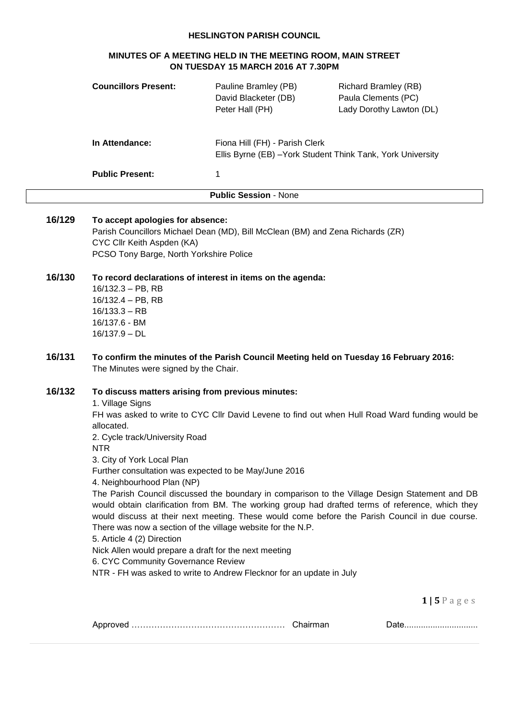### **HESLINGTON PARISH COUNCIL**

# **MINUTES OF A MEETING HELD IN THE MEETING ROOM, MAIN STREET ON TUESDAY 15 MARCH 2016 AT 7.30PM**

|        | <b>Councillors Present:</b>                                                                                                                                                                                                                                                                                                                                                                                                                          | Pauline Bramley (PB)<br>David Blacketer (DB)<br>Peter Hall (PH)                               | <b>Richard Bramley (RB)</b><br>Paula Clements (PC)<br>Lady Dorothy Lawton (DL)                                                                                                                                                                                                                                                                                                                                                  |
|--------|------------------------------------------------------------------------------------------------------------------------------------------------------------------------------------------------------------------------------------------------------------------------------------------------------------------------------------------------------------------------------------------------------------------------------------------------------|-----------------------------------------------------------------------------------------------|---------------------------------------------------------------------------------------------------------------------------------------------------------------------------------------------------------------------------------------------------------------------------------------------------------------------------------------------------------------------------------------------------------------------------------|
|        | In Attendance:                                                                                                                                                                                                                                                                                                                                                                                                                                       | Fiona Hill (FH) - Parish Clerk<br>Ellis Byrne (EB) - York Student Think Tank, York University |                                                                                                                                                                                                                                                                                                                                                                                                                                 |
|        | <b>Public Present:</b>                                                                                                                                                                                                                                                                                                                                                                                                                               | 1                                                                                             |                                                                                                                                                                                                                                                                                                                                                                                                                                 |
|        |                                                                                                                                                                                                                                                                                                                                                                                                                                                      | <b>Public Session - None</b>                                                                  |                                                                                                                                                                                                                                                                                                                                                                                                                                 |
| 16/129 | To accept apologies for absence:<br>CYC Cllr Keith Aspden (KA)<br>PCSO Tony Barge, North Yorkshire Police                                                                                                                                                                                                                                                                                                                                            | Parish Councillors Michael Dean (MD), Bill McClean (BM) and Zena Richards (ZR)                |                                                                                                                                                                                                                                                                                                                                                                                                                                 |
| 16/130 | 16/132.3 - PB, RB<br>16/132.4 - PB, RB<br>$16/133.3 - RB$<br>16/137.6 - BM<br>$16/137.9 - DL$                                                                                                                                                                                                                                                                                                                                                        | To record declarations of interest in items on the agenda:                                    |                                                                                                                                                                                                                                                                                                                                                                                                                                 |
| 16/131 | The Minutes were signed by the Chair.                                                                                                                                                                                                                                                                                                                                                                                                                | To confirm the minutes of the Parish Council Meeting held on Tuesday 16 February 2016:        |                                                                                                                                                                                                                                                                                                                                                                                                                                 |
| 16/132 | To discuss matters arising from previous minutes:<br>1. Village Signs<br>allocated.<br>2. Cycle track/University Road<br><b>NTR</b><br>3. City of York Local Plan<br>Further consultation was expected to be May/June 2016<br>4. Neighbourhood Plan (NP)<br>There was now a section of the village website for the N.P.<br>5. Article 4 (2) Direction<br>Nick Allen would prepare a draft for the next meeting<br>6. CYC Community Governance Review | NTR - FH was asked to write to Andrew Flecknor for an update in July                          | FH was asked to write to CYC Cllr David Levene to find out when Hull Road Ward funding would be<br>The Parish Council discussed the boundary in comparison to the Village Design Statement and DB<br>would obtain clarification from BM. The working group had drafted terms of reference, which they<br>would discuss at their next meeting. These would come before the Parish Council in due course.<br>$1 \mid 5 \mid$ ages |

|--|--|--|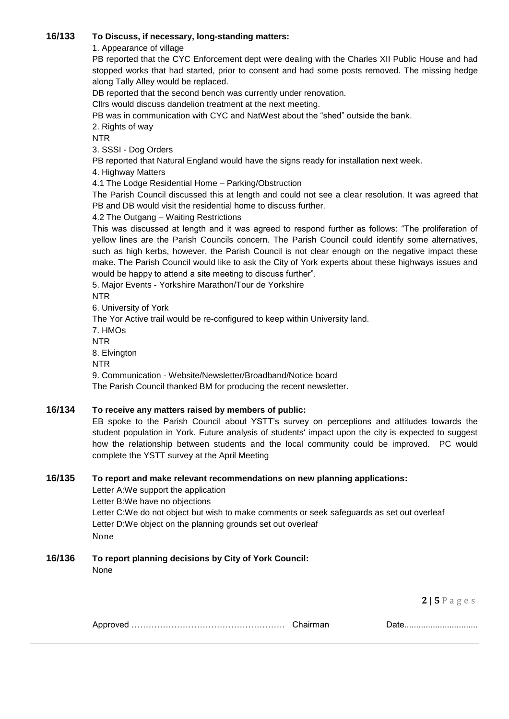### **16/133 To Discuss, if necessary, long-standing matters:**

### 1. Appearance of village

PB reported that the CYC Enforcement dept were dealing with the Charles XII Public House and had stopped works that had started, prior to consent and had some posts removed. The missing hedge along Tally Alley would be replaced.

DB reported that the second bench was currently under renovation.

Cllrs would discuss dandelion treatment at the next meeting.

PB was in communication with CYC and NatWest about the "shed" outside the bank.

2. Rights of way

NTR

3. SSSI - Dog Orders

PB reported that Natural England would have the signs ready for installation next week.

4. Highway Matters

4.1 The Lodge Residential Home – Parking/Obstruction

The Parish Council discussed this at length and could not see a clear resolution. It was agreed that PB and DB would visit the residential home to discuss further.

4.2 The Outgang – Waiting Restrictions

This was discussed at length and it was agreed to respond further as follows: "The proliferation of yellow lines are the Parish Councils concern. The Parish Council could identify some alternatives, such as high kerbs, however, the Parish Council is not clear enough on the negative impact these make. The Parish Council would like to ask the City of York experts about these highways issues and would be happy to attend a site meeting to discuss further".

5. Major Events - Yorkshire Marathon/Tour de Yorkshire

NTR

6. University of York

The Yor Active trail would be re-configured to keep within University land.

7. HMOs NTR

8. Elvington

NTR

9. Communication - Website/Newsletter/Broadband/Notice board

The Parish Council thanked BM for producing the recent newsletter.

## **16/134 To receive any matters raised by members of public:**

EB spoke to the Parish Council about YSTT's survey on perceptions and attitudes towards the student population in York. Future analysis of students' impact upon the city is expected to suggest how the relationship between students and the local community could be improved. PC would complete the YSTT survey at the April Meeting

### **16/135 To report and make relevant recommendations on new planning applications:**

Letter A:We support the application Letter B:We have no objections Letter C:We do not object but wish to make comments or seek safeguards as set out overleaf Letter D:We object on the planning grounds set out overleaf None

# **16/136 To report planning decisions by City of York Council:**

None

**2 | 5** P a g e s

|--|--|--|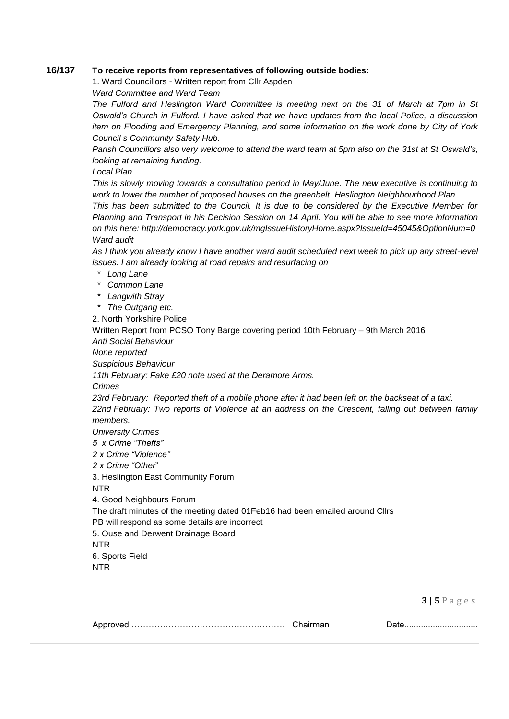### **16/137 To receive reports from representatives of following outside bodies:**

1. Ward Councillors - Written report from Cllr Aspden

*Ward Committee and Ward Team*

*The Fulford and Heslington Ward Committee is meeting next on the 31 of March at 7pm in St Oswald's Church in Fulford. I have asked that we have updates from the local Police, a discussion item on Flooding and Emergency Planning, and some information on the work done by City of York Council s Community Safety Hub.*

*Parish Councillors also very welcome to attend the ward team at 5pm also on the 31st at St Oswald's, looking at remaining funding.*

*Local Plan*

*This is slowly moving towards a consultation period in May/June. The new executive is continuing to work to lower the number of proposed houses on the greenbelt. Heslington Neighbourhood Plan*

*This has been submitted to the Council. It is due to be considered by the Executive Member for Planning and Transport in his Decision Session on 14 April. You will be able to see more information on this here:<http://democracy.york.gov.uk/mgIssueHistoryHome.aspx?IssueId=45045&OptionNum=0> Ward audit*

*As I think you already know I have another ward audit scheduled next week to pick up any street-level issues. I am already looking at road repairs and resurfacing on*

- *\* Long Lane*
- *\* Common Lane*
- *\* Langwith Stray*
- *\* The Outgang etc.*

2. North Yorkshire Police

Written Report from PCSO Tony Barge covering period 10th February – 9th March 2016

*Anti Social Behaviour*

*None reported*

*Suspicious Behaviour*

*11th February: Fake £20 note used at the Deramore Arms.*

*Crimes*

*23rd February: Reported theft of a mobile phone after it had been left on the backseat of a taxi. 22nd February: Two reports of Violence at an address on the Crescent, falling out between family members.*

*University Crimes*

*5 x Crime "Thefts"*

*2 x Crime "Violence"*

*2 x Crime "Other*"

3. Heslington East Community Forum

NTR

4. Good Neighbours Forum

The draft minutes of the meeting dated 01Feb16 had been emailed around Cllrs

PB will respond as some details are incorrect

5. Ouse and Derwent Drainage Board

NTR

6. Sports Field

NTR

**3 | 5** P a g e s

|  |  | $P$ ulv |
|--|--|---------|
|--|--|---------|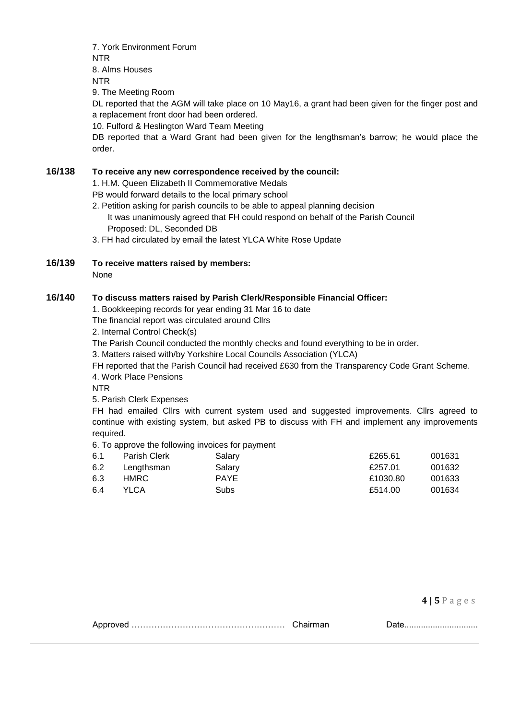7. York Environment Forum NTR 8. Alms Houses NTR

9. The Meeting Room

DL reported that the AGM will take place on 10 May16, a grant had been given for the finger post and a replacement front door had been ordered.

10. Fulford & Heslington Ward Team Meeting

DB reported that a Ward Grant had been given for the lengthsman's barrow; he would place the order.

### **16/138 To receive any new correspondence received by the council:**

1. H.M. Queen Elizabeth II Commemorative Medals

PB would forward details to the local primary school

- 2. Petition asking for parish councils to be able to appeal planning decision
	- It was unanimously agreed that FH could respond on behalf of the Parish Council Proposed: DL, Seconded DB
- 3. FH had circulated by email the latest YLCA White Rose Update
- **16/139 To receive matters raised by members:**

None

### **16/140 To discuss matters raised by Parish Clerk/Responsible Financial Officer:**

1. Bookkeeping records for year ending 31 Mar 16 to date

The financial report was circulated around Cllrs

2. Internal Control Check(s)

The Parish Council conducted the monthly checks and found everything to be in order.

3. Matters raised with/by Yorkshire Local Councils Association (YLCA)

FH reported that the Parish Council had received £630 from the Transparency Code Grant Scheme.

4. Work Place Pensions

NTR

5. Parish Clerk Expenses

FH had emailed Cllrs with current system used and suggested improvements. Cllrs agreed to continue with existing system, but asked PB to discuss with FH and implement any improvements required.

6. To approve the following invoices for payment

| 6.1 | Parish Clerk | Salary      | £265.61  | 001631 |
|-----|--------------|-------------|----------|--------|
| 6.2 | Lengthsman   | Salary      | £257.01  | 001632 |
| 6.3 | HMRC.        | <b>PAYE</b> | £1030.80 | 001633 |
| 6.4 | YLCA         | <b>Subs</b> | £514.00  | 001634 |

| $4$   5 P a |  | ges |  |  |
|-------------|--|-----|--|--|
|-------------|--|-----|--|--|